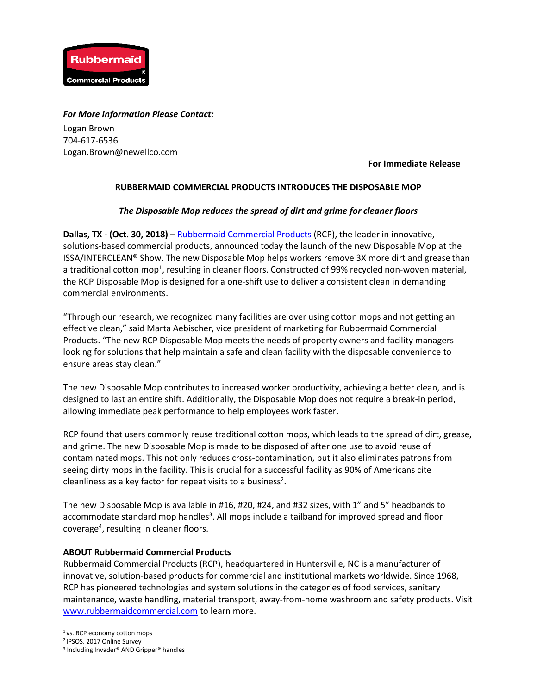

## *For More Information Please Contact:*

Logan Brown 704-617-6536 Logan.Brown@newellco.com

**For Immediate Release**

## **RUBBERMAID COMMERCIAL PRODUCTS INTRODUCES THE DISPOSABLE MOP**

## *The Disposable Mop reduces the spread of dirt and grime for cleaner floors*

**Dallas, TX - (Oct. 30, 2018)** – [Rubbermaid Commercial Products](http://www.rubbermaidcommercial.com/) (RCP), the leader in innovative, solutions-based commercial products, announced today the launch of the new Disposable Mop at the ISSA/INTERCLEAN® Show. The new Disposable Mop helps workers remove 3X more dirt and grease than a traditional cotton mop<sup>1</sup>, resulting in cleaner floors. Constructed of 99% recycled non-woven material, the RCP Disposable Mop is designed for a one-shift use to deliver a consistent clean in demanding commercial environments.

"Through our research, we recognized many facilities are over using cotton mops and not getting an effective clean," said Marta Aebischer, vice president of marketing for Rubbermaid Commercial Products. "The new RCP Disposable Mop meets the needs of property owners and facility managers looking for solutions that help maintain a safe and clean facility with the disposable convenience to ensure areas stay clean."

The new Disposable Mop contributes to increased worker productivity, achieving a better clean, and is designed to last an entire shift. Additionally, the Disposable Mop does not require a break-in period, allowing immediate peak performance to help employees work faster.

RCP found that users commonly reuse traditional cotton mops, which leads to the spread of dirt, grease, and grime. The new Disposable Mop is made to be disposed of after one use to avoid reuse of contaminated mops. This not only reduces cross-contamination, but it also eliminates patrons from seeing dirty mops in the facility. This is crucial for a successful facility as 90% of Americans cite cleanliness as a key factor for repeat visits to a business<sup>2</sup>.

The new Disposable Mop is available in #16, #20, #24, and #32 sizes, with 1" and 5" headbands to accommodate standard mop handles<sup>3</sup>. All mops include a tailband for improved spread and floor coverage<sup>4</sup>, resulting in cleaner floors.

## **ABOUT Rubbermaid Commercial Products**

Rubbermaid Commercial Products (RCP), headquartered in Huntersville, NC is a manufacturer of innovative, solution-based products for commercial and institutional markets worldwide. Since 1968, RCP has pioneered technologies and system solutions in the categories of food services, sanitary maintenance, waste handling, material transport, away-from-home washroom and safety products. Visit [www.rubbermaidcommercial.com](http://www.rubbermaidcommercial.com/) to learn more.

<sup>1</sup> vs. RCP economy cotton mops

<sup>2</sup>IPSOS, 2017 Online Survey

<sup>3</sup> Including Invader® AND Gripper® handles